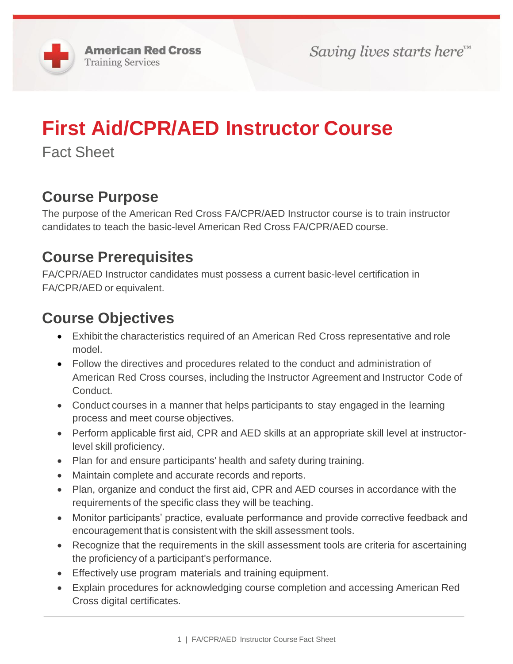# **First Aid/CPR/AED Instructor Course**

Fact Sheet

### **Course Purpose**

The purpose of the American Red Cross FA/CPR/AED Instructor course is to train instructor candidates to teach the basic-level American Red Cross FA/CPR/AED course.

#### **Course Prerequisites**

FA/CPR/AED Instructor candidates must possess a current basic-level certification in FA/CPR/AED or equivalent.

#### **Course Objectives**

- Exhibit the characteristics required of an American Red Cross representative and role model.
- Follow the directives and procedures related to the conduct and administration of American Red Cross courses, including the Instructor Agreement and Instructor Code of Conduct.
- Conduct courses in a manner that helps participants to stay engaged in the learning process and meet course objectives.
- Perform applicable first aid, CPR and AED skills at an appropriate skill level at instructorlevel skill proficiency.
- Plan for and ensure participants' health and safety during training.
- Maintain complete and accurate records and reports.
- Plan, organize and conduct the first aid, CPR and AED courses in accordance with the requirements of the specific class they will be teaching.
- Monitor participants' practice, evaluate performance and provide corrective feedback and encouragement that is consistent with the skill assessment tools.
- Recognize that the requirements in the skill assessment tools are criteria for ascertaining the proficiency of a participant's performance.
- Effectively use program materials and training equipment.
- Explain procedures for acknowledging course completion and accessing American Red Cross digital certificates.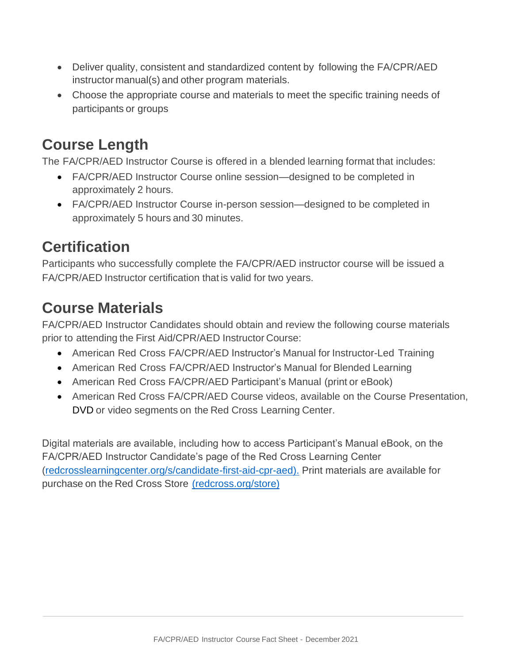- Deliver quality, consistent and standardized content by following the FA/CPR/AED instructor manual(s) and other program materials.
- Choose the appropriate course and materials to meet the specific training needs of participants or groups

### **Course Length**

The FA/CPR/AED Instructor Course is offered in a blended learning format that includes:

- FA/CPR/AED Instructor Course online session—designed to be completed in approximately 2 hours.
- FA/CPR/AED Instructor Course in-person session—designed to be completed in approximately 5 hours and 30 minutes.

## **Certification**

Participants who successfully complete the FA/CPR/AED instructor course will be issued a FA/CPR/AED Instructor certification that is valid for two years.

# **Course Materials**

FA/CPR/AED Instructor Candidates should obtain and review the following course materials prior to attending the First Aid/CPR/AED Instructor Course:

- American Red Cross FA/CPR/AED Instructor's Manual for Instructor-Led Training
- American Red Cross FA/CPR/AED Instructor's Manual for Blended Learning
- American Red Cross FA/CPR/AED Participant's Manual (print or eBook)
- American Red Cross FA/CPR/AED Course videos, available on the Course Presentation, DVD or video segments on the Red Cross Learning Center.

Digital materials are available, including how to access Participant's Manual eBook, on the FA/CPR/AED Instructor Candidate's page of the Red Cross Learning Center (redcrosslearningcenter.org/s/candidate-first-aid-cpr-aed). Print materials are available for purchase on the Red Cross Store (redcross.org/store)